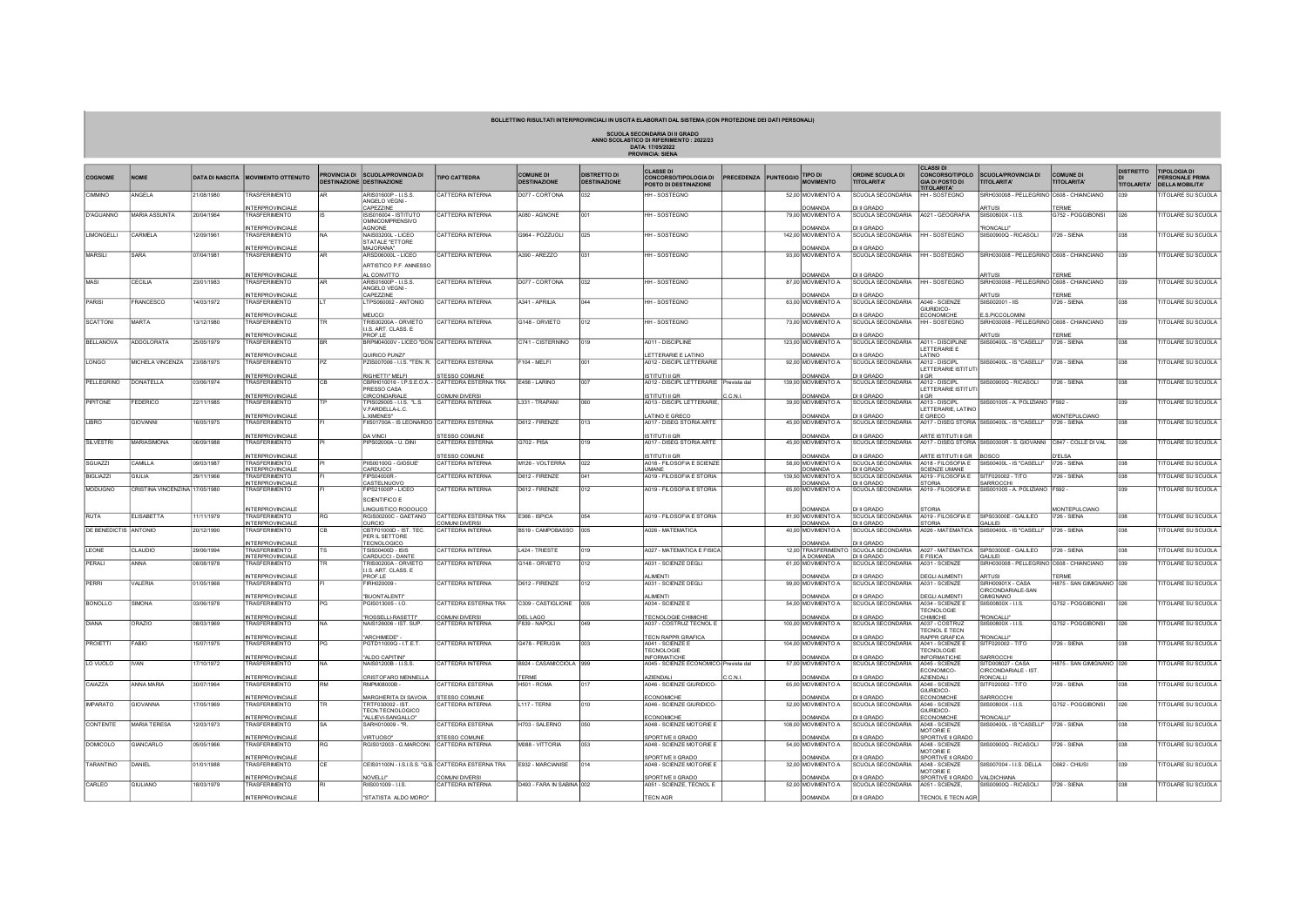## BOLLETTINO RISULTATI INTERPROVINCIALI IN USCITA ELABORATI DAL SISTEMA (CON PROTEZIONE DEI DATI PERSONALI)

SCUOLA SECONDARIA DI II GRADO<br>ANNO SCOLASTICO DI RIFERIMENTO : 2022/23<br>DATA: 17/05/2022<br>PROVINCIA: SIENA

| <b>COGNOME</b>               | <b>NOME</b>                    |            | DATA DI NASCITA MOVIMENTO OTTENUTO                    | <b>ROVINCIA DI</b><br><b>DESTINAZIONE</b> | <b>SCUOLA/PROVINCIA DI</b><br><b>DESTINAZIONE</b>         | <b>TIPO CATTEDRA</b>                              | <b>COMUNE DI</b><br><b>DESTINAZIONE</b> | <b>DISTRETTO DI</b><br><b>DESTINAZIONE</b> | <b>CLASSE DI</b><br><b>CONCORSO/TIPOLOGIA DI</b><br>POSTO DI DESTINAZIONE | PRECEDENZA PUNTEGGIO | <b>TIPO DI</b><br><b>MOVIMENTO</b>  | <b>ORDINE SCUOLA DI</b><br><b>TITOLARITA'</b>        | CLASSI DI<br><b>GIA DI POSTO DI</b>        | CONCORSO/TIPOLO SCUOLA/PROVINCIA DI<br><b>TITOLARITA'</b>        | COMUNE DI<br><b>TITOLARITA'</b>             | <b>DISTRETTO</b><br>TITOLARITA' | <b>TIPOLOGIA DI</b><br>PERSONALE PRIMA<br>DELLA MOBILITA' |
|------------------------------|--------------------------------|------------|-------------------------------------------------------|-------------------------------------------|-----------------------------------------------------------|---------------------------------------------------|-----------------------------------------|--------------------------------------------|---------------------------------------------------------------------------|----------------------|-------------------------------------|------------------------------------------------------|--------------------------------------------|------------------------------------------------------------------|---------------------------------------------|---------------------------------|-----------------------------------------------------------|
| CIMMINO                      | ANGELA                         | 21/08/1980 | <b><i>FRASFERIMENTO</i></b>                           |                                           | ARIS01600P - LLS.S.<br>ANGELO VEGNI-                      | CATTEDRA INTERNA                                  | D077 - CORTONA                          | 032                                        | HH - SOSTEGNO                                                             |                      | 52,00 MOVIMENTO A                   | <b>SCUOLA SECONDARIA</b>                             | <b>TITOLARITA'</b><br><b>IH - SOSTEGNO</b> | SIRH030008 - PELLEGRINO C608 - CHIANCIANO                        |                                             | n39                             | <b>ITOLARE SU SCUOLA</b>                                  |
|                              |                                |            | <b>INTERPROVINCIALE</b>                               |                                           | CAPEZZINE                                                 |                                                   |                                         |                                            |                                                                           |                      | <b>OMANDA</b>                       | <b>JULGRADO</b>                                      |                                            | <b>ARTUS</b>                                                     | TERME                                       |                                 |                                                           |
| D'AGUANNO                    | MARIA ASSUNTA                  | 20/04/1964 | TRASEERIMENTO                                         |                                           | ISIS016004 - ISTITUTO<br>OMNICOMPRENSIVO<br><b>AGNONE</b> | CATTEDRA INTERNA                                  | A080 - AGNONE                           | loo <sub>1</sub>                           | HH-SOSTEGNO                                                               |                      | 79.00 MOVIMENTO A<br><b>OMANDA</b>  | SCUOLA SECONDARIA<br><b>DI II GRADO</b>              | A021 - GEOGRAFIA                           | SIIS00800X-11S                                                   | G752 - POGGIBONSI                           | 026                             | <b>ITOLARE SU SCUOLA</b>                                  |
| <b>LIMONGELLI</b>            | CARMELA                        | 12/09/1961 | NTERPROVINCIALE<br>TRASFERIMENTO                      |                                           | NAIS03200L - LICEO                                        | CATTEDRA INTERNA                                  | G964 - POZZUOLI                         | 025                                        | HH - SOSTEGNO                                                             |                      | 142,00 MOVIMENTO A                  | SCUOLA SECONDARIA                                    | <b>HH-SOSTEGNO</b>                         | "RONCALLI"<br>SIIS00900Q - RICASOLI                              | <b>1726 - SIENA</b>                         | 038                             | <b>ITOLARE SU SCUOLA</b>                                  |
|                              |                                |            |                                                       |                                           | STATALE "ETTORE<br>MA.IORANA                              |                                                   |                                         |                                            |                                                                           |                      | <b>OMANC</b>                        | <b>JULGRADO</b>                                      |                                            |                                                                  |                                             |                                 |                                                           |
| <b>MARSILI</b>               | SARA                           | 7/04/1981  | NTERPROVINCIALE<br><b><i>FRASFERIMENTO</i></b>        |                                           | ARSD06000L - LICEO                                        | CATTEDRA INTERNA                                  | A390 - AREZZO                           |                                            | HH - SOSTEGNO                                                             |                      | 93,00 MOVIMENTO A                   | <b>SCUOLA SECONDARIA</b>                             | <b>HH-SOSTEGNO</b>                         | SIRH030008 - PELLEGRINO C608 - CHIANCIANO                        |                                             | 039                             | <b>ITOLARE SU SCUOLA</b>                                  |
|                              |                                |            |                                                       |                                           | ARTISTICO P.F. ANNESSO                                    |                                                   |                                         |                                            |                                                                           |                      |                                     |                                                      |                                            |                                                                  |                                             |                                 |                                                           |
|                              |                                |            | NTERPROVINCIALE                                       |                                           | AL CONVITTO                                               |                                                   |                                         |                                            |                                                                           |                      | OMANDA                              | <b>DI II GRADO</b>                                   |                                            | <b>ARTUS</b>                                                     | <b>FRMF</b>                                 |                                 |                                                           |
| MASI                         | CECILIA                        | 23/01/1983 | <b><i>FRASFERIMENTO</i></b>                           |                                           | ARIS01600P - I I S S<br>ANGELO VEGNI -                    | CATTEDRA INTERNA                                  | D077 - CORTONA                          | 032                                        | HH - SOSTEGNO                                                             |                      | 87,00 MOVIMENTO A                   | <b>SCUOLA SECONDARIA</b>                             | HH - SOSTEGNO                              | SIRH030008 - PELLEGRINO C608 - CHIANCIANO                        |                                             | 039                             | <b>ITOLARE SU SCUOLA</b>                                  |
|                              |                                |            | NTERPROVINCIALE                                       |                                           | CAPEZZINE                                                 |                                                   |                                         |                                            |                                                                           |                      | OMANDA                              | <b>DI II GRADO</b>                                   |                                            | ARTUS                                                            | TERME                                       |                                 |                                                           |
| PARISI                       | FRANCESCO                      | 4/03/1972  | <b><i>FRASFERIMENTO</i></b>                           |                                           | TPS060002 - ANTONIO                                       | CATTEDRA INTERNA                                  | A341 - APRILIA                          | 044                                        | HH - SOSTEGNO                                                             |                      | 63,00 MOVIMENTO A                   | SCUOLA SECONDARIA                                    | A046 - SCIENZE<br>GIURIDICO-               | SIIS002001 - IIS                                                 | 726 - SIENA                                 | 038                             | <b>ITOLARE SU SCUOLA</b>                                  |
|                              |                                |            | NTERPROVINCIALE                                       |                                           | MEUCCI                                                    |                                                   |                                         |                                            |                                                                           |                      | <b>OMANDA</b>                       | <b>DI II GRADO</b>                                   | CONOMICHE                                  | E.S.PICCOLOMINI                                                  |                                             |                                 |                                                           |
| <b>SCATTONI</b>              | <b>MARTA</b>                   | 13/12/1980 | <b>TRASFERIMENTO</b>                                  |                                           | TRIS00200A - ORVIETO<br>I.LS. ART. CLASS. E               | CATTEDRA INTERNA                                  | G148 - ORVIETO                          | 012                                        | HH - SOSTEGNO                                                             |                      | 73,00 MOVIMENTO A                   | SCUOLA SECONDARIA                                    | HH - SOSTEGNO                              | SIRH030008 - PELLEGRINO C608 - CHIANCIANO                        |                                             | 039                             | <b>ITOLARE SU SCUOLA</b>                                  |
| <b>BELLANOVA</b>             | ADDOLORATA                     | 25/05/1979 | NTERPROVINCIALE<br>TRASFERIMENTO                      |                                           | PROF.LE<br>BRPM04000V - LICEO "DON CATTEDRA INTERNA       |                                                   | C741 - CISTERNINO                       | 019                                        | A011 - DISCIPLINE                                                         |                      | OMANDA<br>123,00 MOVIMENTO A        | I II GRADO<br>SCUOLA SECONDARIA                      | A011 - DISCIPLINE                          | ARTUS<br>SIIS00400L - IS "CASELLI"                               | TERME<br><b>1726 - SIENA</b>                | 038                             | <b>ITOLARE SU SCUOLA</b>                                  |
|                              |                                |            |                                                       |                                           |                                                           |                                                   |                                         |                                            |                                                                           |                      |                                     |                                                      | ETTERARIE E                                |                                                                  |                                             |                                 |                                                           |
|                              |                                |            | NTERPROVINCIALE                                       | P7                                        | QUIRICO PUNZI*                                            |                                                   |                                         | 001                                        | LETTERARIE E LATINO                                                       |                      | <b>OMANDA</b>                       | DI II GRADO                                          | <b>ATINO</b>                               |                                                                  |                                             |                                 |                                                           |
| LONGO                        | <b>MICHELA VINCENZA</b>        | 23/08/1975 | <b><i>FRASFERIMENTO</i></b>                           |                                           | PZIS007006 - I.I.S. "TEN. R.                              | CATTEDRA ESTERNA                                  | $-104 - MELFI$                          |                                            | A012 - DISCIPL LETTERARIE                                                 |                      | 92,00 MOVIMENTO A                   | SCUOLA SECONDARIA                                    | A012 - DISCIPL<br>LETTERARIE ISTITUT       | SIIS00400L - IS "CASELLI"                                        | <b>1726 - SIENA</b>                         | 038                             | <b>ITOLARE SU SCUOLA</b>                                  |
|                              |                                |            | NTERPROVINCIALE                                       |                                           | RIGHETTI" MELE                                            | STESSO COMUNE                                     |                                         |                                            | <b>ISTITUTI II GR</b>                                                     |                      | <b>OMANDA</b>                       | <b>JULGRADO</b>                                      | GR                                         |                                                                  |                                             |                                 |                                                           |
| <b>PELLEGRINO</b>            | <b>DONATELLA</b>               | 03/06/1974 | TRASFERIMENTO                                         |                                           | CBRH010016 - I.P.S.E.O.A.<br>PRESSO CASA                  | ICATTEDRA ESTERNA TRA                             | F456 - I ARINO                          | 007                                        | A012 - DISCIPL LETTERARIE Prevista dal                                    |                      | 139.00 MOVIMENTO A                  | <b>SCUOLA SECONDARIA</b>                             | A012 - DISCIPI<br>LETTERARIE ISTITUT       | SIS00900Q - RICASOLL                                             | <b>1726 - SIENA</b>                         | 038                             | <b>ITOLARE SU SCUOLA</b>                                  |
|                              |                                |            | NTERPROVINCIALE                                       |                                           | CIRCONDARIALI                                             | OMUNI DIVERSI                                     |                                         |                                            | ISTITUTI II GR                                                            |                      | OMANDA                              | <b>DI II GRADO</b>                                   | GR.                                        |                                                                  |                                             |                                 |                                                           |
| PIPITONE                     | FEDERICO                       | 22/11/1985 | <b><i>FRASFERIMENTO</i></b>                           |                                           | PIS029005 - I.I.S. "L.S.<br>FARDELLA-L.C.                 | CATTEDRA INTERNA                                  | L331 - TRAPANI                          | 060                                        | A013 - DISCIPL LETTERARIE                                                 |                      | 39.00 MOVIMENTO A                   | SCUOLA SECONDARIA                                    | A013 - DISCIPI<br>ETTERARIE, LATINO        | SIIS001005 - A. POLIZIANO F592 -                                 |                                             | 039                             | <b>ITOLARE SU SCUOLA</b>                                  |
|                              |                                |            | NTERPROVINCIALE                                       |                                           | .XIMENES"                                                 |                                                   |                                         |                                            | LATINO E GRECO                                                            |                      | <b>OMANC</b>                        | I II GRADO                                           | GRECO                                      |                                                                  | <b><i>IONTEPULCIANO</i></b>                 |                                 |                                                           |
| LIBRO                        | GIOVANN                        | 16/05/1975 | <b><i>FRASFERIMENTO</i></b>                           |                                           | IS01700A - IS LEONARDO                                    | CATTEDRA ESTERNA                                  | D612 - FIRENZE                          | 013                                        | A017 - DISEG STORIA ARTE                                                  |                      | 45,00 MOVIMENTO A                   | <b>SCUOLA SECONDARIA</b>                             |                                            | 4017 - DISEG STORIA SIIS00400L - IS "CASELLI"                    | <b>1726 - SIENA</b>                         | 038                             | <b>ITOLARE SU SCUOLA</b>                                  |
|                              |                                |            | <b>NTERPROVINCIALE</b>                                |                                           | <b>DA VINC</b>                                            | <b>STESSO COMUNE</b>                              |                                         |                                            | <b>ISTITUTI II GR</b>                                                     |                      | OMAND,                              | <b>DI II GRADO</b>                                   | RTE ISTITUTI II GR                         |                                                                  |                                             |                                 |                                                           |
| <b>SILVESTRI</b>             | MARIASIMONA                    | 06/09/1988 | TRASFERIMENTO                                         |                                           | PIPS02000A - U. DIN                                       | CATTEDRA ESTERNA                                  | G702 - PISA                             | 019                                        | A017 - DISEG STORIA ARTE                                                  |                      | 45,00 MOVIMENTO A                   | <b>SCUOLA SECONDARIA</b>                             |                                            | A017 - DISEG STORIA SIIS00300R - S. GIOVANNI C847 - COLLE DI VAL |                                             | 026                             | <b>ITOLARE SU SCUOLA</b>                                  |
|                              |                                |            | NTERPROVINCIALE                                       |                                           |                                                           | <b>TESSO COMUNE</b>                               |                                         |                                            | <b>STITUTI II GF</b>                                                      |                      | <b>OMANDA</b>                       | <b>DI II GRADO</b>                                   | RTE ISTITUTI II GR                         | BOSCO                                                            | D'ELSA                                      |                                 |                                                           |
| SGUAZZI                      | CAMILLA                        | 09/03/1987 | <b><i>FRASFERIMENTO</i></b>                           |                                           | PIIS00100G - GIOSUE'                                      | CATTEDRA INTERNA                                  | M126 - VOLTERRA                         | 022                                        | A018 - FILOSOFIA E SCIENZE                                                |                      | 58,00 MOVIMENTO A                   | SCUOLA SECONDARIA                                    | A018 - FILOSOFIA E                         | SIIS00400L - IS "CASELLI"                                        | <b>1726 - SIENA</b>                         | 038                             | <b>ITOLARE SU SCUOLA</b>                                  |
| <b>BIGLIAZZI</b>             | <b>GIULIA</b>                  | 29/11/1966 | <b>INTERPROVINCIALE</b><br>TRASFERIMENTO              |                                           | <b>ARDUCCI</b><br>FIPS04000R                              | CATTEDRA INTERNA                                  | D612 - FIRENZE                          | 041                                        | UMANE                                                                     |                      | DOMANDA<br>139.50 MOVIMENTO A       | <b>DI II GRADO</b><br><b>SCUOLA SECONDARIA</b>       | <b>SCIENZE UMANE</b>                       | SITF020002 - TITO                                                | <b>1726 - SIENA</b>                         | 038                             | <b>ITOLARE SU SCUOLA</b>                                  |
|                              |                                |            | <b>INTERPROVINCIAL</b>                                |                                           | ASTELNUOVO                                                |                                                   |                                         |                                            | A019 - FILOSOFIA E STORIA                                                 |                      | DOMANDA                             | <b>DI II GRADO</b>                                   | A019 - FILOSOFIA E<br><b>STORIA</b>        | SARROCCHI                                                        |                                             |                                 |                                                           |
| MODUGNO                      | CRISTINA VINCENZINA 17/05/1980 |            | TRASFERIMENTO                                         |                                           | FIPS21000P - LICEO                                        | CATTEDRA INTERNA                                  | D612 - FIRENZE                          | 012                                        | A019 - FILOSOFIA E STORIA                                                 |                      | 65,00 MOVIMENTO A                   | SCUOLA SECONDARIA                                    |                                            | A019 - FILOSOFIA E SIIS001005 - A. POLIZIANO F592 -              |                                             | 039                             | <b>ITOLARE SU SCUOLA</b>                                  |
|                              |                                |            |                                                       |                                           | SCIENTIFICO E                                             |                                                   |                                         |                                            |                                                                           |                      |                                     |                                                      |                                            |                                                                  |                                             |                                 |                                                           |
| RUTA                         | ELISABETTA                     | 1/11/1979  | NTERPROVINCIALE<br><b><i>RASFERIMENTO</i></b>         | RG                                        | <b>INGUISTICO RODOLICO</b><br>RGIS00200C - GAETANO        | CATTEDRA ESTERNA TRA                              | E366 - ISPICA                           | 054                                        | A019 - FILOSOFIA E STORIA                                                 |                      | <b>OMANDA</b><br>81,00 MOVIMENTO A  | <b>DI II GRADO</b><br>SCUOLA SECONDARIA              | <b>TORIA</b><br>4019 - FILOSOFIA E         | SIPS03000E - GALILEO                                             | <b>MONTEPULCIANO</b><br><b>1726 - SIENA</b> | 038                             | <b>ITOLARE SU SCUOLA</b>                                  |
|                              |                                |            | NTERPROVINCIALE                                       |                                           | URCIO                                                     | COMUNI DIVERSI                                    |                                         |                                            |                                                                           |                      | DOMANDA                             | DI II GRADO                                          | <b>TORIA</b>                               | GALILEI                                                          |                                             |                                 |                                                           |
| <b>DE BENEDICTIS ANTONIO</b> |                                | 20/12/1990 | <b><i>FRASFERIMENTO</i></b>                           |                                           | CBTF01000D - IST. TEC.<br>PER IL SETTORE                  | CATTEDRA INTERNA                                  | B519 - CAMPOBASSO                       | 005                                        | A026 - MATEMATICA                                                         |                      | 40.00 MOVIMENTO A                   | SCUOLA SECONDARIA                                    |                                            | A026 - MATEMATICA   SIIS00400L - IS "CASELLI"                    | <b>1726 - SIENA</b>                         | 038                             | <b>ITOLARE SU SCUOLA</b>                                  |
|                              |                                |            | NTERPROVINCIAL                                        |                                           | <b>ECNOLOGICO</b>                                         |                                                   |                                         |                                            |                                                                           |                      | OMANDA                              | <b>JULGRADO</b>                                      |                                            |                                                                  |                                             |                                 |                                                           |
| LEONE                        | CLAUDIO                        | 29/06/1994 | TRASFERIMENTO<br>NTERPROVINCIAL                       |                                           | <b>FSIS00400D - ISIS</b><br><b>ARDUCCI - DANTE</b>        | CATTEDRA INTERNA                                  | L424 - TRIESTE                          | 019                                        | A027 - MATEMATICA E FISICA                                                |                      | <b>DOMANDA</b>                      | 12,00 TRASFERIMENTO SCUOLA SECONDARIA<br>DI II GRADO | <b>FISICA</b>                              | A027 - MATEMATICA SIPS03000E - GALILEO<br>GALILEI                | <b>1726 - SIENA</b>                         | 038                             | <b>ITOLARE SU SCUOLA</b>                                  |
| PERALI                       | ANNA                           | 08/08/1978 | <b><i>FRASFERIMENTO</i></b>                           |                                           | RIS00200A - ORVIETO                                       | CATTEDRA INTERNA                                  | G148 - ORVIETO                          | 012                                        | A031 - SCIENZE DEGLI                                                      |                      | 61,00 MOVIMENTO A                   | <b>SCUOLA SECONDARIA</b>                             | A031 - SCIENZE                             | SIRH030008 - PELLEGRINO C608 - CHIANCIANO                        |                                             | 039                             | ITOLARE SU SCUOLA                                         |
|                              |                                |            |                                                       |                                           | I.I.S. ART. CLASS. E                                      |                                                   |                                         |                                            |                                                                           |                      |                                     |                                                      |                                            |                                                                  |                                             |                                 |                                                           |
| PERRI                        | VALERIA                        | 01/05/1968 | NTERPROVINCIALE<br>TRASFERIMENTO                      |                                           | PROF.LE<br>FIRH020009 -                                   | CATTEDRA INTERNA                                  | D612 - FIRENZE                          | 012                                        | <b>ALIMENTI</b><br>A031 - SCIENZE DEGLI                                   |                      | OMANDA<br>99,00 MOVIMENTO A         | <b>DI II GRADO</b><br>SCUOLA SECONDARIA              | <b>DEGLI ALIMENTI</b><br>A031 - SCIENZE    | <b>ARTUS</b><br>SIRH00901X - CASA                                | TERM<br>H875 - SAN GIMIGNANO 026            |                                 | <b>ITOLARE SU SCUOLA</b>                                  |
|                              |                                |            |                                                       |                                           |                                                           |                                                   |                                         |                                            |                                                                           |                      |                                     |                                                      |                                            | CIRCONDARIALE-SAN                                                |                                             |                                 |                                                           |
| <b>BONOLLO</b>               | <b>SIMONA</b>                  | 03/06/1978 | <b>NTERPROVINCIALE</b><br><b><i>FRASFERIMENTO</i></b> | <b>PG</b>                                 | 'BUONTALENTI'<br>PGIS013005 - I.O.                        | CATTEDRA ESTERNA TRA                              | C309 - CASTIGLIONE                      | 1005                                       | AI IMFNTI<br>A034 - SCIENZE E                                             |                      | <b>OMANDA</b><br>54,00 MOVIMENTO A  | <b>DI II GRADO</b><br>SCUOLA SECONDARIA              | <b>EGLI ALIMENTI</b><br>A034 - SCIENZE E   | <b>GIMIGNANO</b><br>SIIS00800X - I.I.S.                          | G752 - POGGIBONSI                           | 026                             | <b>ITOLARE SU SCUOLA</b>                                  |
|                              |                                |            |                                                       |                                           |                                                           |                                                   |                                         |                                            |                                                                           |                      |                                     |                                                      | <b>TECNOLOGIE</b>                          |                                                                  |                                             |                                 |                                                           |
| DIANA                        | <b>ORAZIO</b>                  | 08/03/1969 | NTERPROVINCIALE<br><b><i>FRASFERIMENTO</i></b>        |                                           | ROSSELLI-RASETTI<br>NAIS126006 - IST. SUF                 | COMUNI DIVERS<br>CATTEDRA INTERNA                 | <b>DEL LAGC</b><br>F839 - NAPOLI        | 049                                        | <b><i>FECNOLOGIE CHIMICHE</i></b><br>A037 - COSTRUZ TECNOL E              |                      | <b>OMANDA</b><br>100.00 MOVIMENTO A | <b>DI II GRADO</b><br><b>SCUOLA SECONDARIA</b>       | CHIMICHE<br>A037 - COSTRUZ                 | "RONCALLI<br>SIIS00800X - I.I.S.                                 | G752 - POGGIBONSI                           | 026                             | <b>ITOLARE SU SCUOLA</b>                                  |
|                              |                                |            |                                                       |                                           |                                                           |                                                   |                                         |                                            |                                                                           |                      |                                     |                                                      | <b>TECNOL E TECN</b>                       |                                                                  |                                             |                                 |                                                           |
| PROIETTI                     | <b>FABIO</b>                   | 15/07/1975 | NTERPROVINCIALE<br>TRASFERIMENTO                      | PG                                        | ARCHIMEDE"<br>PGTD11000Q - I.T.E.T                        | CATTEDRA INTERNA                                  | G478 - PERUGIA                          | $\log$                                     | TECN RAPPR GRAFICA<br>A041 - SCIENZE E                                    |                      | <b>OMANDA</b><br>104.00 MOVIMENTO A | DI II GRADO<br>SCUOLA SECONDARIA                     | RAPPR GRAFICA<br>A041 - SCIENZE E          | "RONCALLI"<br>SITF020002 - TITO                                  | <b>1726 - SIENA</b>                         | 038                             | <b>ITOLARE SU SCUOLA</b>                                  |
|                              |                                |            |                                                       |                                           |                                                           |                                                   |                                         |                                            | <b><i>TECNOLOGIE</i></b>                                                  |                      |                                     |                                                      | <b>TECNOLOGIE</b>                          |                                                                  |                                             |                                 |                                                           |
|                              | <b>IVAN</b>                    | 17/10/1972 | NTERPROVINCIALE<br><b><i>FRASFERIMENTO</i></b>        |                                           | 'ALDO CAPITINI"<br>NAIS01200B - I.I.S.S.                  | CATTEDRA INTERNA                                  | B924 - CASAMICCIOLA 999                 |                                            | <b>INFORMATICHE</b>                                                       |                      | <b>OMANDA</b><br>57.00 MOVIMENTO A  | <b>DI II GRADO</b><br><b>SCUOLA SECONDARIA</b>       | <b>INFORMATICHE</b><br>A045 - SCIENZE      | SARROCCHI<br>SITD008027 - CASA                                   | H875 - SAN GIMIGNANO 026                    |                                 | <b>ITOLARE SU SCUOLA</b>                                  |
| <b>LO VUOLO</b>              |                                |            |                                                       |                                           |                                                           |                                                   |                                         |                                            | A045 - SCIENZE ECONOMICO- Prevista dal                                    |                      |                                     |                                                      | ECONOMICO-                                 | CIRCONDARIALE - IST.                                             |                                             |                                 |                                                           |
|                              |                                |            | NTERPROVINCIALE                                       |                                           | CRISTOFARO MENNELLA                                       |                                                   | <b>FERME</b>                            |                                            | <b>AZIENDALI</b>                                                          |                      | OMANDA                              | <b>DI II GRADO</b>                                   | AZIENDALI                                  | RONCALLI                                                         |                                             |                                 |                                                           |
| CAIAZZA                      | <b>ANNA MARIA</b>              | 30/07/1964 | <b><i>RASFERIMENTO</i></b>                            |                                           | RMPM08000B -                                              | CATTEDRA ESTERNA                                  | 1501 - ROMA                             |                                            | A046 - SCIENZE GIURIDICO-                                                 |                      | 65,00 MOVIMENTO A                   | <b>SCUOLA SECONDARIA</b>                             | A046 - SCIENZE<br>GIURIDICO-               | SITF020002 - TITO                                                | 726 - SIENA                                 | 038                             | <b>ITOLARE SU SCUOLA</b>                                  |
|                              |                                |            | NTERPROVINCIALE                                       |                                           | <b>MARGHERITA DI SAVOIA</b>                               | <b>STESSO COMUNE</b>                              |                                         |                                            | <b>ECONOMICHE</b>                                                         |                      | OMAND,                              | I II GRADO                                           | CONOMICH                                   | SARROCCH                                                         |                                             |                                 |                                                           |
| <b>IMPARATO</b>              | <b>GIOVANNA</b>                | 17/05/1969 | <b><i>FRASFERIMENTO</i></b>                           | TR                                        | FRTF030002 - IST<br><b>FECN TECNOLOGICO</b>               | CATTEDRA INTERNA                                  | L117 - TERNI                            | 010                                        | A046 - SCIENZE GIURIDICO-                                                 |                      | 52.00 MOVIMENTO A                   | <b>SCUOLA SECONDARIA</b>                             | A046 - SCIENZE<br>GIURIDICO-               | SIIS00800X - I.I.S.                                              | G752 - POGGIBONSI                           | 026                             | <b>ITOLARE SU SCUOLA</b>                                  |
|                              |                                |            | NTERPROVINCIALE                                       |                                           | 'ALLIEVI-SANGALLO'                                        |                                                   |                                         |                                            | <b>ECONOMICHE</b>                                                         |                      | <b>OMANDA</b>                       | <b>DI II GRADO</b>                                   | ECONOMICHE                                 | "RONCALLI"                                                       |                                             |                                 |                                                           |
| CONTENTE                     | <b>MARIA TERESA</b>            | 12/03/1973 | TRASFERIMENTO                                         |                                           | SARH010009 - "R.                                          | CATTEDRA ESTERNA                                  | H703 - SALERNO                          | 050                                        | A048 - SCIENZE MOTORIE E                                                  |                      | 108,00 MOVIMENTO A                  | SCUOLA SECONDARIA                                    | A048 - SCIENZE<br>MOTORIE E                | SIIS00400L - IS "CASELLI"                                        | 1726 - SIENA                                | 038                             | <b>ITOLARE SU SCUOLA</b>                                  |
|                              |                                |            | NTERPROVINCIALE                                       |                                           | <b>VIRTUOSO*</b>                                          | <b>TESSO COMUNE</b>                               |                                         |                                            | SPORTIVE II GRADO                                                         |                      | OMANDA                              | <b>DI II GRADO</b>                                   | SPORTIVE II GRADO                          |                                                                  |                                             |                                 |                                                           |
| DOMICOLO                     | GIANCARLO                      | 05/05/1966 | <b><i>FRASFERIMENTO</i></b>                           |                                           | RGIS012003 - G.MARCONI.                                   | CATTEDRA INTERNA                                  | M088 - VITTORIA                         | 053                                        | A048 - SCIENZE MOTORIE E                                                  |                      | 54.00 MOVIMENTO A                   | SCUOLA SECONDARIA                                    | A048 - SCIENZE<br><b>MOTORIE E</b>         | SIIS00900Q - RICASOLI                                            | <b>726 - SIENA</b>                          | 038                             | <b>ITOLARE SU SCUOLA</b>                                  |
|                              |                                |            | NTERPROVINCIAL                                        |                                           |                                                           |                                                   |                                         |                                            | <b>SPORTIVE II GRADO</b>                                                  |                      | OMANDA                              | I II GRADO                                           | SPORTIVE II GRADO                          |                                                                  |                                             |                                 |                                                           |
| TARANTINO                    | DANIEL                         | 01/01/1988 | TRASFERIMENTO                                         |                                           |                                                           | CEIS01100N - LS.I.S.S. "G.B. CATTEDRA ESTERNA TRA | E932 - MARCIANISE                       | 014                                        | A048 - SCIENZE MOTORIE E                                                  |                      | 32,00 MOVIMENTO A                   | SCUOLA SECONDARIA                                    | A048 - SCIENZE                             | SIIS007004 - I.I.S. DELLA                                        | C662 - CHIUSI                               | 039                             | <b>ITOLARE SU SCUOLA</b>                                  |
|                              |                                |            | NTERPROVINCIALE                                       |                                           | <b>NOVELL!</b>                                            | OMUNI DIVERSI                                     |                                         |                                            | SPORTIVE II GRADO                                                         |                      | <b>OMANDA</b>                       | <b>DI II GRADO</b>                                   | MOTORIE F<br>SPORTIVE II GRADO             | VALDICHIANA                                                      |                                             |                                 |                                                           |
| CARLEO                       | <b>GIULIANO</b>                | 18/03/1979 | <b>TRASFERIMENTO</b>                                  |                                           | RIIS001009 - I.I.S.                                       | CATTEDRA INTERNA                                  | D493 - FARA IN SABINA 002               |                                            | A051 - SCIENZE, TECNOL E                                                  |                      | 52.00 MOVIMENTO A                   | <b>SCUOLA SECONDARIA</b>                             | A051 - SCIENZE.                            | SIIS00900Q - RICASOLI                                            | <b>1726 - SIENA</b>                         | 038                             | <b>ITOLARE SU SCUOLA</b>                                  |
|                              |                                |            | <b>INTERPROVINCIALE</b>                               |                                           | "STATISTA ALDO MORO"                                      |                                                   |                                         |                                            | <b>TECN AGR</b>                                                           |                      | DOMANDA                             | DI II GRADO                                          | TECNOL E TECN AGR                          |                                                                  |                                             |                                 |                                                           |
|                              |                                |            |                                                       |                                           |                                                           |                                                   |                                         |                                            |                                                                           |                      |                                     |                                                      |                                            |                                                                  |                                             |                                 |                                                           |